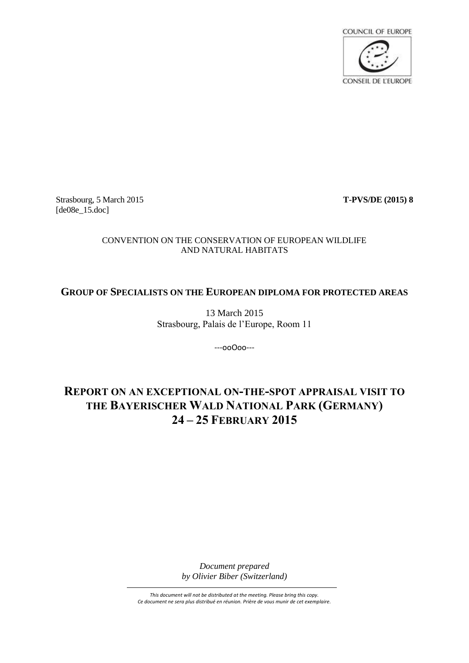

Strasbourg, 5 March 2015 **T-PVS/DE (2015) 8** [de08e\_15.doc]

# CONVENTION ON THE CONSERVATION OF EUROPEAN WILDLIFE AND NATURAL HABITATS

# **GROUP OF SPECIALISTS ON THE EUROPEAN DIPLOMA FOR PROTECTED AREAS**

13 March 2015 Strasbourg, Palais de l'Europe, Room 11

---ooOoo---

# **REPORT ON AN EXCEPTIONAL ON-THE-SPOT APPRAISAL VISIT TO THE BAYERISCHER WALD NATIONAL PARK (GERMANY) 24 – 25 FEBRUARY 2015**

*Document prepared by Olivier Biber (Switzerland)*

*This document will not be distributed at the meeting. Please bring this copy. Ce document ne sera plus distribué en réunion. Prière de vous munir de cet exemplaire.*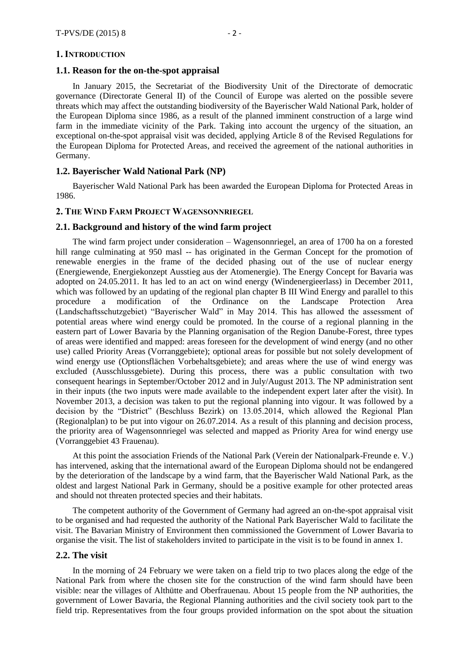#### **1. INTRODUCTION**

#### **1.1. Reason for the on-the-spot appraisal**

In January 2015, the Secretariat of the Biodiversity Unit of the Directorate of democratic governance (Directorate General II) of the Council of Europe was alerted on the possible severe threats which may affect the outstanding biodiversity of the Bayerischer Wald National Park, holder of the European Diploma since 1986, as a result of the planned imminent construction of a large wind farm in the immediate vicinity of the Park. Taking into account the urgency of the situation, an exceptional on-the-spot appraisal visit was decided, applying Article 8 of the Revised Regulations for the European Diploma for Protected Areas, and received the agreement of the national authorities in Germany.

## **1.2. Bayerischer Wald National Park (NP)**

Bayerischer Wald National Park has been awarded the European Diploma for Protected Areas in 1986.

## **2. THE WIND FARM PROJECT WAGENSONNRIEGEL**

#### **2.1. Background and history of the wind farm project**

The wind farm project under consideration – Wagensonnriegel, an area of 1700 ha on a forested hill range culminating at 950 masl -- has originated in the German Concept for the promotion of renewable energies in the frame of the decided phasing out of the use of nuclear energy (Energiewende, Energiekonzept Ausstieg aus der Atomenergie). The Energy Concept for Bavaria was adopted on 24.05.2011. It has led to an act on wind energy (Windenergieerlass) in December 2011, which was followed by an updating of the regional plan chapter B III Wind Energy and parallel to this procedure a modification of the Ordinance on the Landscape Protection Area (Landschaftsschutzgebiet) "Bayerischer Wald" in May 2014. This has allowed the assessment of potential areas where wind energy could be promoted. In the course of a regional planning in the eastern part of Lower Bavaria by the Planning organisation of the Region Danube-Forest, three types of areas were identified and mapped: areas foreseen for the development of wind energy (and no other use) called Priority Areas (Vorranggebiete); optional areas for possible but not solely development of wind energy use (Optionsflächen Vorbehaltsgebiete); and areas where the use of wind energy was excluded (Ausschlussgebiete). During this process, there was a public consultation with two consequent hearings in September/October 2012 and in July/August 2013. The NP administration sent in their inputs (the two inputs were made available to the independent expert later after the visit). In November 2013, a decision was taken to put the regional planning into vigour. It was followed by a decision by the "District" (Beschluss Bezirk) on 13.05.2014, which allowed the Regional Plan (Regionalplan) to be put into vigour on 26.07.2014. As a result of this planning and decision process, the priority area of Wagensonnriegel was selected and mapped as Priority Area for wind energy use (Vorranggebiet 43 Frauenau).

At this point the association Friends of the National Park (Verein der Nationalpark-Freunde e. V.) has intervened, asking that the international award of the European Diploma should not be endangered by the deterioration of the landscape by a wind farm, that the Bayerischer Wald National Park, as the oldest and largest National Park in Germany, should be a positive example for other protected areas and should not threaten protected species and their habitats.

The competent authority of the Government of Germany had agreed an on-the-spot appraisal visit to be organised and had requested the authority of the National Park Bayerischer Wald to facilitate the visit. The Bavarian Ministry of Environment then commissioned the Government of Lower Bavaria to organise the visit. The list of stakeholders invited to participate in the visit is to be found in annex 1.

## **2.2. The visit**

In the morning of 24 February we were taken on a field trip to two places along the edge of the National Park from where the chosen site for the construction of the wind farm should have been visible: near the villages of Althütte and Oberfrauenau. About 15 people from the NP authorities, the government of Lower Bavaria, the Regional Planning authorities and the civil society took part to the field trip. Representatives from the four groups provided information on the spot about the situation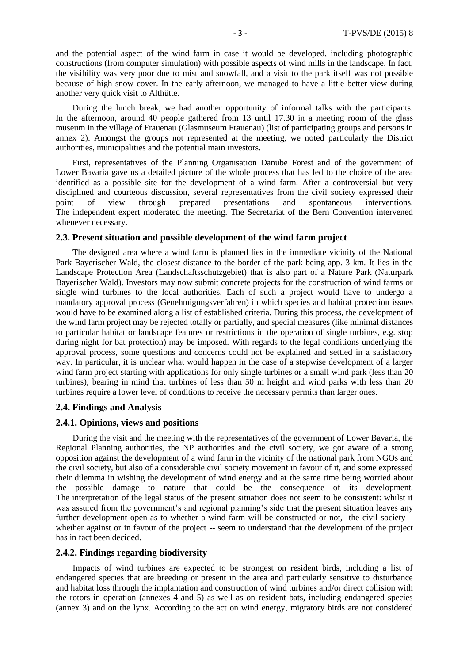and the potential aspect of the wind farm in case it would be developed, including photographic constructions (from computer simulation) with possible aspects of wind mills in the landscape. In fact, the visibility was very poor due to mist and snowfall, and a visit to the park itself was not possible because of high snow cover. In the early afternoon, we managed to have a little better view during another very quick visit to Althütte.

During the lunch break, we had another opportunity of informal talks with the participants. In the afternoon, around 40 people gathered from 13 until 17.30 in a meeting room of the glass museum in the village of Frauenau (Glasmuseum Frauenau) (list of participating groups and persons in annex 2). Amongst the groups not represented at the meeting, we noted particularly the District authorities, municipalities and the potential main investors.

First, representatives of the Planning Organisation Danube Forest and of the government of Lower Bavaria gave us a detailed picture of the whole process that has led to the choice of the area identified as a possible site for the development of a wind farm. After a controversial but very disciplined and courteous discussion, several representatives from the civil society expressed their point of view through prepared presentations and spontaneous interventions. The independent expert moderated the meeting. The Secretariat of the Bern Convention intervened whenever necessary.

### **2.3. Present situation and possible development of the wind farm project**

The designed area where a wind farm is planned lies in the immediate vicinity of the National Park Bayerischer Wald, the closest distance to the border of the park being app. 3 km. It lies in the Landscape Protection Area (Landschaftsschutzgebiet) that is also part of a Nature Park (Naturpark Bayerischer Wald). Investors may now submit concrete projects for the construction of wind farms or single wind turbines to the local authorities. Each of such a project would have to undergo a mandatory approval process (Genehmigungsverfahren) in which species and habitat protection issues would have to be examined along a list of established criteria. During this process, the development of the wind farm project may be rejected totally or partially, and special measures (like minimal distances to particular habitat or landscape features or restrictions in the operation of single turbines, e.g. stop during night for bat protection) may be imposed. With regards to the legal conditions underlying the approval process, some questions and concerns could not be explained and settled in a satisfactory way. In particular, it is unclear what would happen in the case of a stepwise development of a larger wind farm project starting with applications for only single turbines or a small wind park (less than 20 turbines), bearing in mind that turbines of less than 50 m height and wind parks with less than 20 turbines require a lower level of conditions to receive the necessary permits than larger ones.

#### **2.4. Findings and Analysis**

### **2.4.1. Opinions, views and positions**

During the visit and the meeting with the representatives of the government of Lower Bavaria, the Regional Planning authorities, the NP authorities and the civil society, we got aware of a strong opposition against the development of a wind farm in the vicinity of the national park from NGOs and the civil society, but also of a considerable civil society movement in favour of it, and some expressed their dilemma in wishing the development of wind energy and at the same time being worried about the possible damage to nature that could be the consequence of its development. The interpretation of the legal status of the present situation does not seem to be consistent: whilst it was assured from the government's and regional planning's side that the present situation leaves any further development open as to whether a wind farm will be constructed or not, the civil society – whether against or in favour of the project -- seem to understand that the development of the project has in fact been decided.

### **2.4.2. Findings regarding biodiversity**

Impacts of wind turbines are expected to be strongest on resident birds, including a list of endangered species that are breeding or present in the area and particularly sensitive to disturbance and habitat loss through the implantation and construction of wind turbines and/or direct collision with the rotors in operation (annexes 4 and 5) as well as on resident bats, including endangered species (annex 3) and on the lynx. According to the act on wind energy, migratory birds are not considered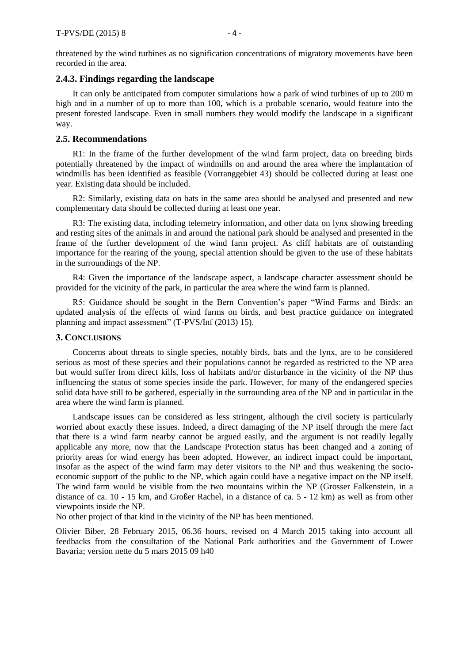threatened by the wind turbines as no signification concentrations of migratory movements have been recorded in the area.

## **2.4.3. Findings regarding the landscape**

It can only be anticipated from computer simulations how a park of wind turbines of up to 200 m high and in a number of up to more than 100, which is a probable scenario, would feature into the present forested landscape. Even in small numbers they would modify the landscape in a significant way.

#### **2.5. Recommendations**

R1: In the frame of the further development of the wind farm project, data on breeding birds potentially threatened by the impact of windmills on and around the area where the implantation of windmills has been identified as feasible (Vorranggebiet 43) should be collected during at least one year. Existing data should be included.

R2: Similarly, existing data on bats in the same area should be analysed and presented and new complementary data should be collected during at least one year.

R3: The existing data, including telemetry information, and other data on lynx showing breeding and resting sites of the animals in and around the national park should be analysed and presented in the frame of the further development of the wind farm project. As cliff habitats are of outstanding importance for the rearing of the young, special attention should be given to the use of these habitats in the surroundings of the NP.

R4: Given the importance of the landscape aspect, a landscape character assessment should be provided for the vicinity of the park, in particular the area where the wind farm is planned.

R5: Guidance should be sought in the Bern Convention's paper "Wind Farms and Birds: an updated analysis of the effects of wind farms on birds, and best practice guidance on integrated planning and impact assessment" (T-PVS/Inf (2013) 15).

### **3. CONCLUSIONS**

Concerns about threats to single species, notably birds, bats and the lynx, are to be considered serious as most of these species and their populations cannot be regarded as restricted to the NP area but would suffer from direct kills, loss of habitats and/or disturbance in the vicinity of the NP thus influencing the status of some species inside the park. However, for many of the endangered species solid data have still to be gathered, especially in the surrounding area of the NP and in particular in the area where the wind farm is planned.

Landscape issues can be considered as less stringent, although the civil society is particularly worried about exactly these issues. Indeed, a direct damaging of the NP itself through the mere fact that there is a wind farm nearby cannot be argued easily, and the argument is not readily legally applicable any more, now that the Landscape Protection status has been changed and a zoning of priority areas for wind energy has been adopted. However, an indirect impact could be important, insofar as the aspect of the wind farm may deter visitors to the NP and thus weakening the socioeconomic support of the public to the NP, which again could have a negative impact on the NP itself. The wind farm would be visible from the two mountains within the NP (Grosser Falkenstein, in a distance of ca. 10 - 15 km, and Großer Rachel, in a distance of ca. 5 - 12 km) as well as from other viewpoints inside the NP.

No other project of that kind in the vicinity of the NP has been mentioned.

Olivier Biber, 28 February 2015, 06.36 hours, revised on 4 March 2015 taking into account all feedbacks from the consultation of the National Park authorities and the Government of Lower Bavaria; version nette du 5 mars 2015 09 h40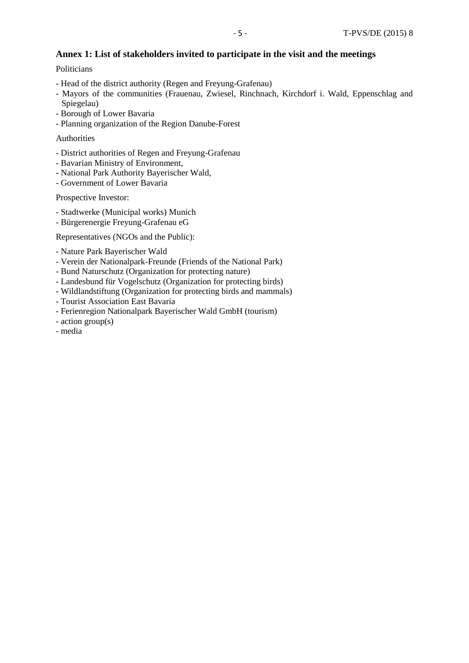# **Annex 1: List of stakeholders invited to participate in the visit and the meetings**

Politicians

- Head of the district authority (Regen and Freyung-Grafenau)
- Mayors of the communities (Frauenau, Zwiesel, Rinchnach, Kirchdorf i. Wald, Eppenschlag and Spiegelau)
- Borough of Lower Bavaria
- Planning organization of the Region Danube-Forest

# Authorities

- District authorities of Regen and Freyung-Grafenau
- Bavarian Ministry of Environment,
- National Park Authority Bayerischer Wald,
- Government of Lower Bavaria

Prospective Investor:

- Stadtwerke (Municipal works) Munich
- Bürgerenergie Freyung-Grafenau eG

Representatives (NGOs and the Public):

- Nature Park Bayerischer Wald
- Verein der Nationalpark-Freunde (Friends of the National Park)
- Bund Naturschutz (Organization for protecting nature)
- Landesbund für Vogelschutz (Organization for protecting birds)
- Wildlandstiftung (Organization for protecting birds and mammals)
- Tourist Association East Bavaria
- Ferienregion Nationalpark Bayerischer Wald GmbH (tourism)
- action group(s)
- media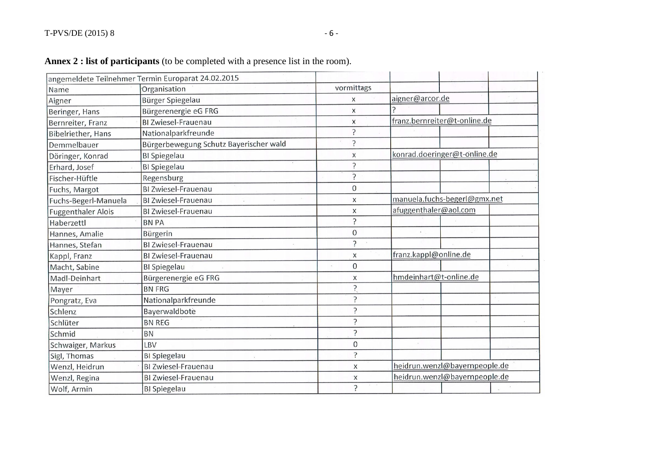|                           | angemeldete Teilnehmer Termin Europarat 24.02.2015 |                |                               |  |  |
|---------------------------|----------------------------------------------------|----------------|-------------------------------|--|--|
| Name                      | Organisation                                       | vormittags     |                               |  |  |
| Aigner                    | Bürger Spiegelau                                   | X              | aigner@arcor.de               |  |  |
| Beringer, Hans            | Bürgerenergie eG FRG                               | X              |                               |  |  |
| Bernreiter, Franz         | <b>BI Zwiesel-Frauenau</b>                         | X              | franz.bernreiter@t-online.de  |  |  |
| Bibelriether, Hans        | Nationalparkfreunde                                | ς              |                               |  |  |
| Demmelbauer               | Bürgerbewegung Schutz Bayerischer wald             | ς              |                               |  |  |
| Döringer, Konrad          | <b>BI</b> Spiegelau                                | X              | konrad.doeringer@t-online.de  |  |  |
| Erhard, Josef             | BI Spiegelau                                       | ?              |                               |  |  |
| Fischer-Hüftle            | Regensburg                                         | Ċ.             |                               |  |  |
| Fuchs, Margot             | <b>BI Zwiesel-Frauenau</b>                         | $\overline{0}$ |                               |  |  |
| Fuchs-Begerl-Manuela      | <b>BI Zwiesel-Frauenau</b>                         | X              | manuela.fuchs-begerl@gmx.net  |  |  |
| <b>Fuggenthaler Alois</b> | <b>BI Zwiesel-Frauenau</b>                         | X              | afuggenthaler@aol.com         |  |  |
| Haberzettl                | <b>BN PA</b>                                       | 5              |                               |  |  |
| Hannes, Amalie            | Bürgerin                                           | $\mathbf 0$    |                               |  |  |
| Hannes, Stefan            | BI Zwiesel-Frauenau                                | ?              |                               |  |  |
| Kappl, Franz              | BI Zwiesel-Frauenau                                | X              | franz.kappl@online.de         |  |  |
| Macht, Sabine             | <b>BI</b> Spiegelau                                | $\mathbf{0}$   |                               |  |  |
| Madl-Deinhart             | Bürgerenergie eG FRG                               | X              | hmdeinhart@t-online.de        |  |  |
| Mayer                     | <b>BN FRG</b>                                      | ?              |                               |  |  |
| Pongratz, Eva             | Nationalparkfreunde                                | 5.             |                               |  |  |
| Schlenz                   | Bayerwaldbote                                      | ŗ              |                               |  |  |
| Schlüter                  | <b>BN REG</b>                                      | 5              |                               |  |  |
| Schmid                    | <b>BN</b>                                          | 2              |                               |  |  |
| Schwaiger, Markus         | LBV                                                | $\overline{0}$ |                               |  |  |
| Sigl, Thomas              | <b>BI</b> Spiegelau                                | $\overline{?}$ |                               |  |  |
| Wenzl, Heidrun            | <b>BI Zwiesel-Frauenau</b>                         | X              | heidrun.wenzl@bayernpeople.de |  |  |
| Wenzl, Regina             | <b>BI Zwiesel-Frauenau</b>                         | $\mathsf X$    | heidrun.wenzl@bayernpeople.de |  |  |
| Wolf, Armin               | <b>BI</b> Spiegelau                                | ?              |                               |  |  |

# **Annex 2 : list of participants** (to be completed with a presence list in the room).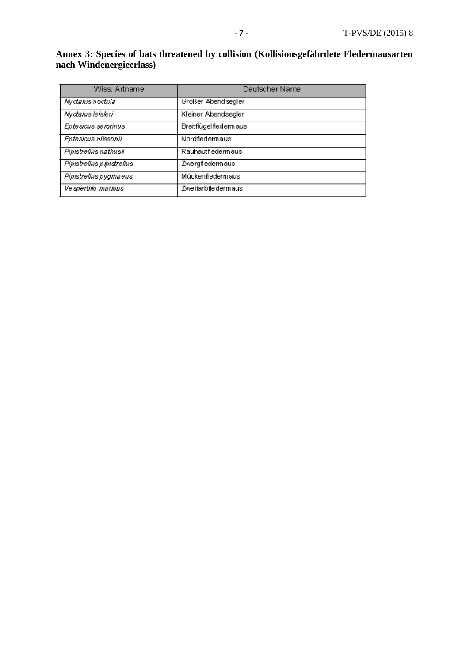## **Annex 3: Species of bats threatened by collision (Kollisionsgefährdete Fledermausarten nach Windenergieerlass)**

| Wiss. Artname             | Deutscher Name          |  |
|---------------------------|-------------------------|--|
| Nyctalus noctula          | Großer Abendsegler      |  |
| Nyctalus leisleri         | Kleiner Abendsegler     |  |
| Eptesicus serotinus       | Breitflügel flederm aus |  |
| Eptesicus nilssonii       | Nordfledemaus           |  |
| Pipistrellus nathusii     | Rauhautfledermaus       |  |
| Pipistrellus pipistrellus | Zwergfledermaus         |  |
| Pipistrellus pygmaeus     | Mückenfledermaus        |  |
| Vespertilio murinus       | Zweifarbfledermaus      |  |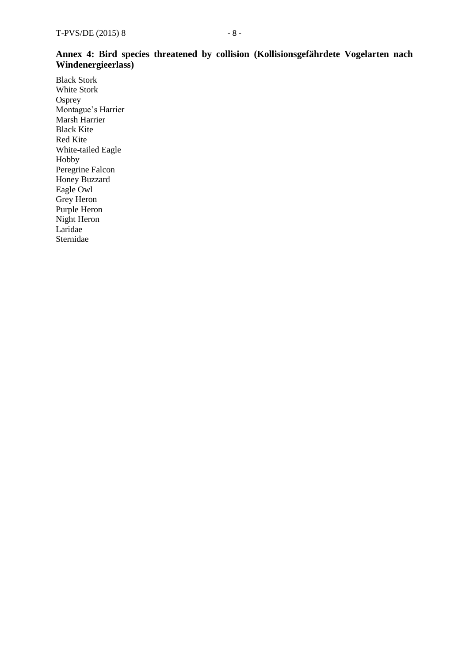# **Annex 4: Bird species threatened by collision (Kollisionsgefährdete Vogelarten nach Windenergieerlass)**

Black Stork White Stork **Osprey** Montague's Harrier Marsh Harrier Black Kite Red Kite White-tailed Eagle Hobby Peregrine Falcon Honey Buzzard Eagle Owl Grey Heron Purple Heron Night Heron Laridae Sternidae